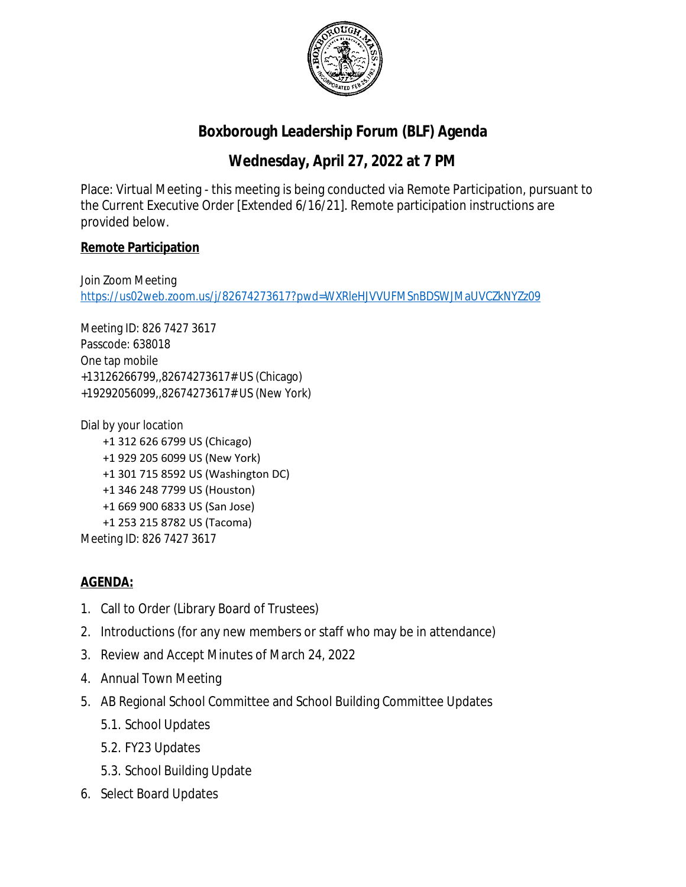

## **Boxborough Leadership Forum (BLF) Agenda**

## **Wednesday, April 27, 2022 at 7 PM**

Place: Virtual Meeting - this meeting is being conducted via Remote Participation, pursuant to the Current Executive Order [Extended 6/16/21]. Remote participation instructions are provided below.

## **Remote Participation**

Join Zoom Meeting <https://us02web.zoom.us/j/82674273617?pwd=WXRleHJVVUFMSnBDSWJMaUVCZkNYZz09>

Meeting ID: 826 7427 3617 Passcode: 638018 One tap mobile +13126266799,,82674273617# US (Chicago) +19292056099,,82674273617# US (New York)

Dial by your location +1 312 626 6799 US (Chicago) +1 929 205 6099 US (New York) +1 301 715 8592 US (Washington DC) +1 346 248 7799 US (Houston) +1 669 900 6833 US (San Jose) +1 253 215 8782 US (Tacoma) Meeting ID: 826 7427 3617

## **AGENDA:**

- 1. Call to Order (Library Board of Trustees)
- 2. Introductions (for any new members or staff who may be in attendance)
- 3. Review and Accept Minutes of March 24, 2022
- 4. Annual Town Meeting
- 5. AB Regional School Committee and School Building Committee Updates
	- 5.1. School Updates
	- 5.2. FY23 Updates
	- 5.3. School Building Update
- 6. Select Board Updates